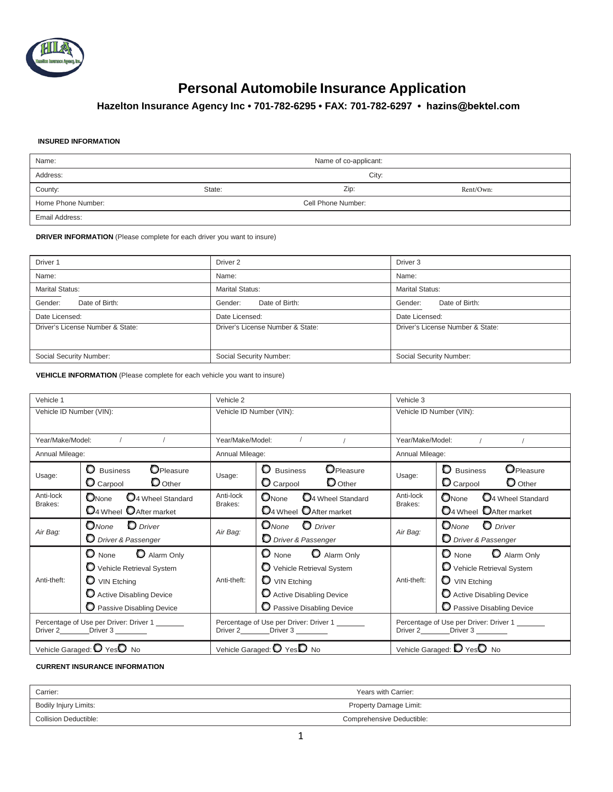

# **Personal Automobile Insurance Application**

# **Hazelton Insurance Agency Inc • 701-782-6295 • FAX: 701-782-6297 • [hazins](http://www.eqgroup.com/)@bektel.com**

#### **INSURED INFORMATION**

| Name:              | Name of co-applicant: |                    |           |
|--------------------|-----------------------|--------------------|-----------|
| Address:           |                       | City:              |           |
| County:            | State:                | Zip:               | Rent/Own: |
| Home Phone Number: |                       | Cell Phone Number: |           |
| Email Address:     |                       |                    |           |

#### **DRIVER INFORMATION** (Please complete for each driver you want to insure)

| Driver 1                         | Driver 2                         | Driver <sub>3</sub>              |
|----------------------------------|----------------------------------|----------------------------------|
| Name:                            | Name:                            | Name:                            |
| <b>Marital Status:</b>           | <b>Marital Status:</b>           | <b>Marital Status:</b>           |
| Gender:<br>Date of Birth:        | Date of Birth:<br>Gender:        | Date of Birth:<br>Gender:        |
| Date Licensed:                   | Date Licensed:                   | Date Licensed:                   |
| Driver's License Number & State: | Driver's License Number & State: | Driver's License Number & State: |
| Social Security Number:          | Social Security Number:          | Social Security Number:          |

**VEHICLE INFORMATION** (Please complete for each vehicle you want to insure)

| Vehicle 1                                                                           |                                                                                                                                                      | Vehicle 2                                                                        |                                                                                                                                                      | Vehicle 3                |                                                                                                                                          |
|-------------------------------------------------------------------------------------|------------------------------------------------------------------------------------------------------------------------------------------------------|----------------------------------------------------------------------------------|------------------------------------------------------------------------------------------------------------------------------------------------------|--------------------------|------------------------------------------------------------------------------------------------------------------------------------------|
| Vehicle ID Number (VIN):                                                            |                                                                                                                                                      | Vehicle ID Number (VIN):                                                         |                                                                                                                                                      | Vehicle ID Number (VIN): |                                                                                                                                          |
| Year/Make/Model:                                                                    |                                                                                                                                                      | Year/Make/Model:                                                                 | $\sqrt{2}$                                                                                                                                           | Year/Make/Model:         | $\sqrt{ }$                                                                                                                               |
| Annual Mileage:                                                                     |                                                                                                                                                      | Annual Mileage:                                                                  |                                                                                                                                                      | Annual Mileage:          |                                                                                                                                          |
| Usage:                                                                              | OPleasure<br><b>Q</b> Business<br>$\mathbf D$ Other<br>$\mathbf $ Carpool                                                                            | Usage:                                                                           | <b>O</b> Pleasure<br><b>Q</b> Business<br>$\mathbf D$ Other<br>$\mathbf $ Carpool                                                                    | Usage:                   | <b>O</b> Pleasure<br><b>D</b> Business<br>$\bullet$ Carpool<br>$\mathbf{\mathsf{O}}$ Other                                               |
| Anti-lock<br>Brakes:                                                                | 04 Wheel Standard<br>ONone<br><b>D</b> <sub>4</sub> Wheel <b>O</b> After market                                                                      | Anti-lock<br>Brakes:                                                             | $\mathbf{O}_{\text{None}}$<br>14 Wheel Standard<br><b>D</b> 4 Wheel <b>O</b> After market                                                            | Anti-lock<br>Brakes:     | $\bullet$ None<br>$\mathbf{O}_4$ Wheel Standard<br>04 Wheel DAfter market                                                                |
| Air Bag:                                                                            | $\mathbf D$ Driver<br>$\Box$ None<br>D Driver & Passenger                                                                                            | Air Bag:                                                                         | O <sub>None</sub> O Driver<br>D Driver & Passenger                                                                                                   | Air Bag:                 | <b>O</b> None <b>O</b> Driver<br>D Driver & Passenger                                                                                    |
| Anti-theft:                                                                         | O None O Alarm Only<br>Vehicle Retrieval System<br>$\mathbf{\mathsf{O}}$ VIN Etching<br>Active Disabling Device<br><b>O</b> Passive Disabling Device | Anti-theft:                                                                      | $\bullet$ None<br>Alarm Only<br>Vehicle Retrieval System<br>$\mathbf{\mathsf{D}}$ VIN Etching<br>Active Disabling Device<br>Passive Disabling Device | Anti-theft:              | $\bullet$ None<br>Alarm Only<br>Vehicle Retrieval System<br>$\bullet$ VIN Etching<br>Active Disabling Device<br>Passive Disabling Device |
| Percentage of Use per Driver: Driver 1<br>Driver 2_____________Driver 3 ___________ |                                                                                                                                                      | Percentage of Use per Driver: Driver 1<br>Driver 2___________Driver 3 __________ |                                                                                                                                                      |                          | Percentage of Use per Driver: Driver 1<br>Driver 2____________Driver 3 __________                                                        |
|                                                                                     | Vehicle Garaged: O YesO No                                                                                                                           |                                                                                  | Vehicle Garaged: $\bigcirc$ Yes $\bigcirc$ No                                                                                                        |                          | Vehicle Garaged: <sup>1</sup> Yes <sup><sup>0</sup> No</sup>                                                                             |

### **CURRENT INSURANCE INFORMATION**

| Carrier:              | Years with Carrier:       |
|-----------------------|---------------------------|
| Bodily Injury Limits: | Property Damage Limit:    |
| Collision Deductible: | Comprehensive Deductible: |